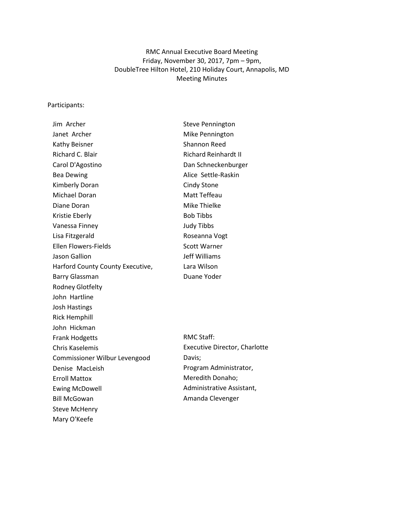# RMC Annual Executive Board Meeting Friday, November 30, 2017, 7pm – 9pm, DoubleTree Hilton Hotel, 210 Holiday Court, Annapolis, MD Meeting Minutes

#### Participants:

| Jim Archer                       |
|----------------------------------|
| Janet Archer                     |
| Kathy Beisner                    |
| Richard C. Blair                 |
| Carol D'Agostino                 |
| <b>Bea Dewing</b>                |
| Kimberly Doran                   |
| Michael Doran                    |
| Diane Doran                      |
| Kristie Eberly                   |
| Vanessa Finney                   |
| Lisa Fitzgerald                  |
| <b>Ellen Flowers-Fields</b>      |
| Jason Gallion                    |
| Harford County County Executive, |
| <b>Barry Glassman</b>            |
| <b>Rodney Glotfelty</b>          |
| John Hartline                    |
| <b>Josh Hastings</b>             |
| Rick Hemphill                    |
| John Hickman                     |
| <b>Frank Hodgetts</b>            |
| <b>Chris Kaselemis</b>           |
| Commissioner Wilbur Levengood    |
| Denise MacLeish                  |
| <b>Erroll Mattox</b>             |
| <b>Ewing McDowell</b>            |
| <b>Bill McGowan</b>              |
| <b>Steve McHenry</b>             |
| Mary O'Keefe                     |

Steve Pennington Mike Pennington Shannon Reed Richard Reinhardt II Dan Schneckenburger Alice Settle-Raskin Cindy Stone Matt Teffeau Mike Thielke Bob Tibbs Judy Tibbs Roseanna Vogt Scott Warner Jeff Williams Lara Wilson Duane Yoder

RMC Staff: Executive Director, Charlotte Davis; Program Administrator, Meredith Donaho; Administrative Assistant, Amanda Clevenger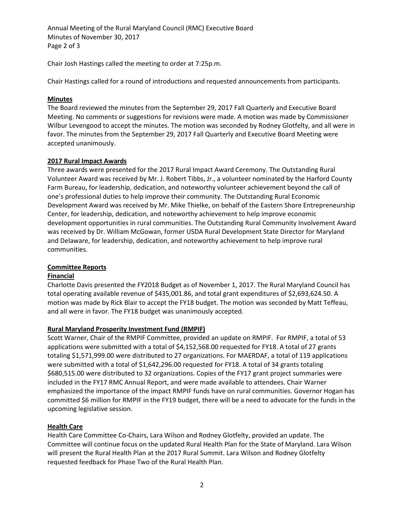Annual Meeting of the Rural Maryland Council (RMC) Executive Board Minutes of November 30, 2017 Page 2 of 3

Chair Josh Hastings called the meeting to order at 7:25p.m.

Chair Hastings called for a round of introductions and requested announcements from participants.

## **Minutes**

The Board reviewed the minutes from the September 29, 2017 Fall Quarterly and Executive Board Meeting. No comments or suggestions for revisions were made. A motion was made by Commissioner Wilbur Levengood to accept the minutes. The motion was seconded by Rodney Glotfelty, and all were in favor. The minutes from the September 29, 2017 Fall Quarterly and Executive Board Meeting were accepted unanimously.

# **2017 Rural Impact Awards**

Three awards were presented for the 2017 Rural Impact Award Ceremony. The Outstanding Rural Volunteer Award was received by Mr. J. Robert Tibbs, Jr., a volunteer nominated by the Harford County Farm Bureau, for leadership, dedication, and noteworthy volunteer achievement beyond the call of one's professional duties to help improve their community. The Outstanding Rural Economic Development Award was received by Mr. Mike Thielke, on behalf of the Eastern Shore Entrepreneurship Center, for leadership, dedication, and noteworthy achievement to help improve economic development opportunities in rural communities. The Outstanding Rural Community Involvement Award was received by Dr. William McGowan, former USDA Rural Development State Director for Maryland and Delaware, for leadership, dedication, and noteworthy achievement to help improve rural communities.

## **Committee Reports**

## **Financial**

Charlotte Davis presented the FY2018 Budget as of November 1, 2017. The Rural Maryland Council has total operating available revenue of \$435,001.86, and total grant expenditures of \$2,693,624.50. A motion was made by Rick Blair to accept the FY18 budget. The motion was seconded by Matt Teffeau, and all were in favor. The FY18 budget was unanimously accepted.

# **Rural Maryland Prosperity Investment Fund (RMPIF)**

Scott Warner, Chair of the RMPIF Committee, provided an update on RMPIF. For RMPIF, a total of 53 applications were submitted with a total of \$4,152,568.00 requested for FY18. A total of 27 grants totaling \$1,571,999.00 were distributed to 27 organizations. For MAERDAF, a total of 119 applications were submitted with a total of \$1,642,296.00 requested for FY18. A total of 34 grants totaling \$680,515.00 were distributed to 32 organizations. Copies of the FY17 grant project summaries were included in the FY17 RMC Annual Report, and were made available to attendees. Chair Warner emphasized the importance of the impact RMPIF funds have on rural communities. Governor Hogan has committed \$6 million for RMPIF in the FY19 budget, there will be a need to advocate for the funds in the upcoming legislative session.

# **Health Care**

Health Care Committee Co-Chairs, Lara Wilson and Rodney Glotfelty, provided an update. The Committee will continue focus on the updated Rural Health Plan for the State of Maryland. Lara Wilson will present the Rural Health Plan at the 2017 Rural Summit. Lara Wilson and Rodney Glotfelty requested feedback for Phase Two of the Rural Health Plan.